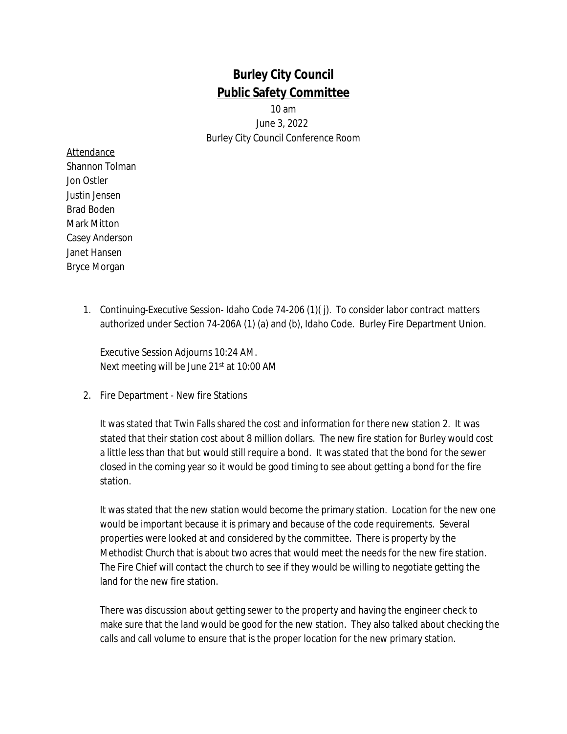## **Burley City Council Public Safety Committee**

10 am

June 3, 2022 Burley City Council Conference Room

## Attendance Shannon Tolman Jon Ostler Justin Jensen Brad Boden Mark Mitton Casey Anderson Janet Hansen Bryce Morgan

1. Continuing-Executive Session- Idaho Code 74-206 (1)( j). To consider labor contract matters authorized under Section 74-206A (1) (a) and (b), Idaho Code. Burley Fire Department Union.

Executive Session Adjourns 10:24 AM. Next meeting will be June 21st at 10:00 AM

2. Fire Department - New fire Stations

It was stated that Twin Falls shared the cost and information for there new station 2. It was stated that their station cost about 8 million dollars. The new fire station for Burley would cost a little less than that but would still require a bond. It was stated that the bond for the sewer closed in the coming year so it would be good timing to see about getting a bond for the fire station.

It was stated that the new station would become the primary station. Location for the new one would be important because it is primary and because of the code requirements. Several properties were looked at and considered by the committee. There is property by the Methodist Church that is about two acres that would meet the needs for the new fire station. The Fire Chief will contact the church to see if they would be willing to negotiate getting the land for the new fire station.

There was discussion about getting sewer to the property and having the engineer check to make sure that the land would be good for the new station. They also talked about checking the calls and call volume to ensure that is the proper location for the new primary station.